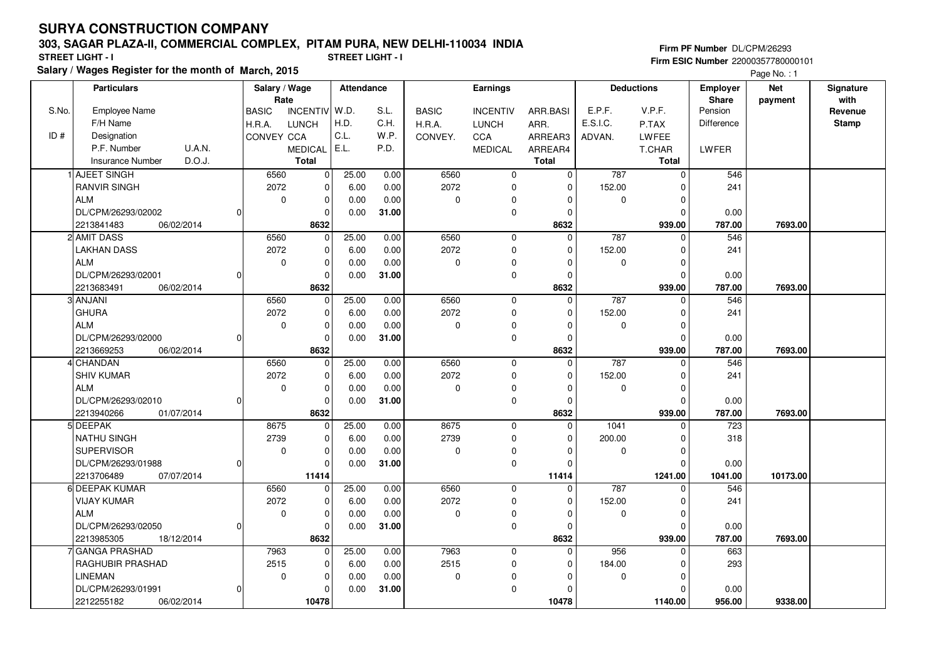### **303, SAGAR PLAZA-II, COMMERCIAL COMPLEX, PITAM PURA, NEW DELHI-110034 INDIA**

**Salary / Wages Register for the month of March, 2015 STREET LIGHT - I STREET LIGHT - I**

**Firm PF Number** DL/CPM/26293 **Firm ESIC Number** 22000357780000101

Page No. : 1

|       | <b>Particulars</b>                |          | Salary / Wage<br>Rate |                | <b>Attendance</b> |       | <b>Earnings</b> |                 |              |             | <b>Deductions</b> | Employer<br>Share | <b>Net</b><br>payment | Signature<br>with |
|-------|-----------------------------------|----------|-----------------------|----------------|-------------------|-------|-----------------|-----------------|--------------|-------------|-------------------|-------------------|-----------------------|-------------------|
| S.No. | <b>Employee Name</b>              |          | <b>BASIC</b>          | INCENTIV W.D.  |                   | S.L.  | <b>BASIC</b>    | <b>INCENTIV</b> | ARR.BASI     | E.P.F.      | V.P.F.            | Pension           |                       | Revenue           |
|       | F/H Name                          |          | H.R.A.                | <b>LUNCH</b>   | H.D.              | C.H.  | H.R.A.          | <b>LUNCH</b>    | ARR.         | E.S.I.C.    | P.TAX             | Difference        |                       | <b>Stamp</b>      |
| ID#   | Designation                       |          | CONVEY CCA            |                | C.L.              | W.P.  | CONVEY.         | CCA             | ARREAR3      | ADVAN.      | LWFEE             |                   |                       |                   |
|       | P.F. Number<br>U.A.N.             |          |                       | <b>MEDICAL</b> | E.L.              | P.D.  |                 | <b>MEDICAL</b>  | ARREAR4      |             | T.CHAR            | LWFER             |                       |                   |
|       | D.O.J.<br><b>Insurance Number</b> |          |                       | <b>Total</b>   |                   |       |                 |                 | <b>Total</b> |             | Total             |                   |                       |                   |
|       | 1 AJEET SINGH                     |          | 6560                  | $\pmb{0}$      | 25.00             | 0.00  | 6560            | 0               | $\mathbf 0$  | 787         | $\mathbf 0$       | 546               |                       |                   |
|       | <b>RANVIR SINGH</b>               |          | 2072                  | $\pmb{0}$      | 6.00              | 0.00  | 2072            | 0               | $\Omega$     | 152.00      |                   | 241               |                       |                   |
|       | <b>ALM</b>                        |          | $\mathbf 0$           | $\mathbf 0$    | 0.00              | 0.00  | $\pmb{0}$       | 0               | $\Omega$     | $\mathbf 0$ | $\Omega$          |                   |                       |                   |
|       | DL/CPM/26293/02002                |          |                       | $\mathbf 0$    | 0.00              | 31.00 |                 | $\mathbf 0$     | $\Omega$     |             | $\Omega$          | 0.00              |                       |                   |
|       | 2213841483<br>06/02/2014          |          |                       | 8632           |                   |       |                 |                 | 8632         |             | 939.00            | 787.00            | 7693.00               |                   |
|       | 2 AMIT DASS                       |          | 6560                  | $\pmb{0}$      | 25.00             | 0.00  | 6560            | $\mathbf 0$     | $\mathbf 0$  | 787         | $\Omega$          | 546               |                       |                   |
|       | <b>LAKHAN DASS</b>                |          | 2072                  | $\pmb{0}$      | 6.00              | 0.00  | 2072            | $\mathsf 0$     | $\Omega$     | 152.00      | O                 | 241               |                       |                   |
|       | <b>ALM</b>                        |          | $\mathbf 0$           | $\Omega$       | 0.00              | 0.00  | $\mathbf 0$     | 0               | $\Omega$     | $\mathbf 0$ | O                 |                   |                       |                   |
|       | DL/CPM/26293/02001                |          |                       | $\mathbf 0$    | 0.00              | 31.00 |                 | 0               | $\Omega$     |             | ŋ                 | 0.00              |                       |                   |
|       | 2213683491<br>06/02/2014          |          |                       | 8632           |                   |       |                 |                 | 8632         |             | 939.00            | 787.00            | 7693.00               |                   |
|       | 3 ANJANI                          |          | 6560                  | $\pmb{0}$      | 25.00             | 0.00  | 6560            | $\mathbf 0$     | $\Omega$     | 787         | O                 | 546               |                       |                   |
|       | <b>GHURA</b>                      |          | 2072                  | 0              | 6.00              | 0.00  | 2072            | 0               | $\Omega$     | 152.00      |                   | 241               |                       |                   |
|       | <b>ALM</b>                        |          | 0                     | $\mathbf 0$    | 0.00              | 0.00  | $\pmb{0}$       | $\mathbf 0$     | $\Omega$     | $\mathbf 0$ | $\Omega$          |                   |                       |                   |
|       | DL/CPM/26293/02000                |          |                       | $\mathbf 0$    | 0.00              | 31.00 |                 | $\mathsf 0$     | $\Omega$     |             | $\Omega$          | 0.00              |                       |                   |
|       | 2213669253<br>06/02/2014          |          |                       | 8632           |                   |       |                 |                 | 8632         |             | 939.00            | 787.00            | 7693.00               |                   |
|       | 4 CHANDAN                         |          | 6560                  | 0              | 25.00             | 0.00  | 6560            | $\mathbf 0$     | $\Omega$     | 787         | $\Omega$          | 546               |                       |                   |
|       | <b>SHIV KUMAR</b>                 |          | 2072                  | 0              | 6.00              | 0.00  | 2072            | $\mathbf 0$     | $\Omega$     | 152.00      | O                 | 241               |                       |                   |
|       | <b>ALM</b>                        |          | $\mathbf 0$           | $\mathbf 0$    | 0.00              | 0.00  | $\pmb{0}$       | 0               | $\Omega$     | $\mathbf 0$ | O                 |                   |                       |                   |
|       | DL/CPM/26293/02010                | $\Omega$ |                       | $\mathbf 0$    | 0.00              | 31.00 |                 | 0               | $\Omega$     |             | O                 | 0.00              |                       |                   |
|       | 2213940266<br>01/07/2014          |          |                       | 8632           |                   |       |                 |                 | 8632         |             | 939.00            | 787.00            | 7693.00               |                   |
|       | 5 DEEPAK                          |          | 8675                  | $\Omega$       | 25.00             | 0.00  | 8675            | $\mathbf 0$     | $\Omega$     | 1041        | $\Omega$          | 723               |                       |                   |
|       | NATHU SINGH                       |          | 2739                  | 0              | 6.00              | 0.00  | 2739            | 0               | $\Omega$     | 200.00      | n                 | 318               |                       |                   |
|       | <b>SUPERVISOR</b>                 |          | $\mathbf 0$           | $\pmb{0}$      | 0.00              | 0.00  | $\pmb{0}$       | 0               | $\Omega$     | $\mathbf 0$ | $\Omega$          |                   |                       |                   |
|       | DL/CPM/26293/01988                | $\Omega$ |                       | $\Omega$       | 0.00              | 31.00 |                 | 0               | $\Omega$     |             | $\Omega$          | 0.00              |                       |                   |
|       | 2213706489<br>07/07/2014          |          |                       | 11414          |                   |       |                 |                 | 11414        |             | 1241.00           | 1041.00           | 10173.00              |                   |
|       | 6 DEEPAK KUMAR                    |          | 6560                  | $\mathbf 0$    | 25.00             | 0.00  | 6560            | $\mathbf 0$     | $\Omega$     | 787         |                   | 546               |                       |                   |
|       | <b>VIJAY KUMAR</b>                |          | 2072                  | $\mathbf 0$    | 6.00              | 0.00  | 2072            | 0               | $\Omega$     | 152.00      | O                 | 241               |                       |                   |
|       | <b>ALM</b>                        |          | $\mathbf 0$           | $\mathbf 0$    | 0.00              | 0.00  | $\mathbf 0$     | 0               | $\Omega$     | $\mathbf 0$ | O                 |                   |                       |                   |
|       | DL/CPM/26293/02050                |          |                       | $\Omega$       | 0.00              | 31.00 |                 | $\mathbf 0$     | $\Omega$     |             | $\Omega$          | 0.00              |                       |                   |
|       | 2213985305<br>18/12/2014          |          |                       | 8632           |                   |       |                 |                 | 8632         |             | 939.00            | 787.00            | 7693.00               |                   |
|       | <b>GANGA PRASHAD</b>              |          | 7963                  | 0              | 25.00             | 0.00  | 7963            | $\mathbf 0$     | $\Omega$     | 956         | $\Omega$          | 663               |                       |                   |
|       | RAGHUBIR PRASHAD                  |          | 2515                  | $\pmb{0}$      | 6.00              | 0.00  | 2515            | 0               | 0            | 184.00      | ŋ                 | 293               |                       |                   |
|       | <b>LINEMAN</b>                    |          | $\mathbf 0$           | $\mathbf 0$    | 0.00              | 0.00  | $\mathbf 0$     | 0               | $\Omega$     | $\mathbf 0$ |                   |                   |                       |                   |
|       | DL/CPM/26293/01991                |          |                       | $\Omega$       | 0.00              | 31.00 |                 | 0               | $\Omega$     |             | U                 | 0.00              |                       |                   |
|       | 2212255182<br>06/02/2014          |          |                       | 10478          |                   |       |                 |                 | 10478        |             | 1140.00           | 956.00            | 9338.00               |                   |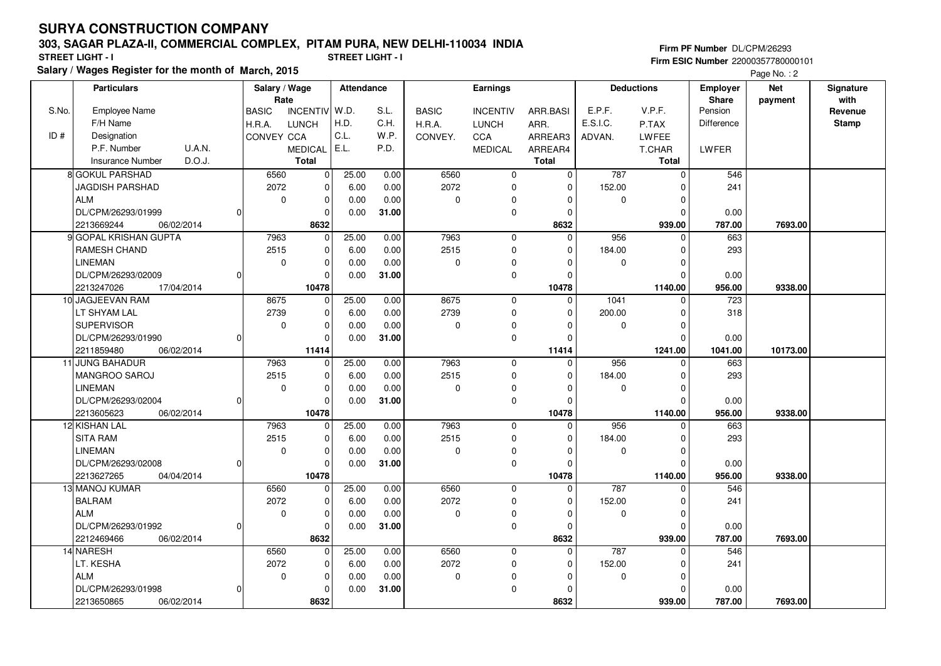### **303, SAGAR PLAZA-II, COMMERCIAL COMPLEX, PITAM PURA, NEW DELHI-110034 INDIA**

**Salary / Wages Register for the month of March, 2015 STREET LIGHT - I STREET LIGHT - I**

**Firm PF Number** DL/CPM/26293 **Firm ESIC Number** 22000357780000101

Page No.: 2

|       | <b>Particulars</b>                |          | Salary / Wage<br>Rate |                | <b>Attendance</b> |       | <b>Earnings</b> |                 |              | <b>Deductions</b> |          | <b>Employer</b><br><b>Share</b> | <b>Net</b> | Signature<br>with |
|-------|-----------------------------------|----------|-----------------------|----------------|-------------------|-------|-----------------|-----------------|--------------|-------------------|----------|---------------------------------|------------|-------------------|
| S.No. | <b>Employee Name</b>              |          | <b>BASIC</b>          | INCENTIV W.D.  |                   | S.L.  | <b>BASIC</b>    | <b>INCENTIV</b> | ARR.BASI     | E.P.F.            | V.P.F.   | Pension                         | payment    | Revenue           |
|       | F/H Name                          |          | H.R.A.                | <b>LUNCH</b>   | H.D.              | C.H.  | H.R.A.          | <b>LUNCH</b>    | ARR.         | E.S.I.C.          | P.TAX    | Difference                      |            | <b>Stamp</b>      |
| ID#   | Designation                       |          | CONVEY CCA            |                | C.L.              | W.P.  | CONVEY.         | CCA             | ARREAR3      | ADVAN.            | LWFEE    |                                 |            |                   |
|       | U.A.N.<br>P.F. Number             |          |                       | <b>MEDICAL</b> | E.L.              | P.D.  |                 | <b>MEDICAL</b>  | ARREAR4      |                   | T.CHAR   | LWFER                           |            |                   |
|       | D.O.J.<br><b>Insurance Number</b> |          |                       | <b>Total</b>   |                   |       |                 |                 | <b>Total</b> |                   | Total    |                                 |            |                   |
|       | 8 GOKUL PARSHAD                   |          | 6560                  | $\mathbf 0$    | 25.00             | 0.00  | 6560            | $\mathbf 0$     | $\mathbf 0$  | 787               | $\Omega$ | 546                             |            |                   |
|       | <b>JAGDISH PARSHAD</b>            |          | 2072                  | $\pmb{0}$      | 6.00              | 0.00  | 2072            | 0               | 0            | 152.00            |          | 241                             |            |                   |
|       | <b>ALM</b>                        |          | $\mathbf 0$           | $\pmb{0}$      | 0.00              | 0.00  | $\mathbf 0$     | 0               | n            | 0                 | O        |                                 |            |                   |
|       | DL/CPM/26293/01999                |          |                       | $\Omega$       | 0.00              | 31.00 |                 | 0               | $\Omega$     |                   | $\Omega$ | 0.00                            |            |                   |
|       | 06/02/2014<br>2213669244          |          |                       | 8632           |                   |       |                 |                 | 8632         |                   | 939.00   | 787.00                          | 7693.00    |                   |
|       | 9 GOPAL KRISHAN GUPTA             |          | 7963                  | $\mathbf 0$    | 25.00             | 0.00  | 7963            | $\mathbf 0$     | $\Omega$     | 956               | $\Omega$ | 663                             |            |                   |
|       | RAMESH CHAND                      |          | 2515                  | 0              | 6.00              | 0.00  | 2515            | 0               | $\Omega$     | 184.00            | O        | 293                             |            |                   |
|       | <b>LINEMAN</b>                    |          | $\mathbf 0$           | $\mathbf 0$    | 0.00              | 0.00  | $\pmb{0}$       | 0               | $\Omega$     | 0                 | ŋ        |                                 |            |                   |
|       | DL/CPM/26293/02009                | $\Omega$ |                       | $\Omega$       | 0.00              | 31.00 |                 | $\mathbf 0$     | $\Omega$     |                   | $\Omega$ | 0.00                            |            |                   |
|       | 2213247026<br>17/04/2014          |          |                       | 10478          |                   |       |                 |                 | 10478        |                   | 1140.00  | 956.00                          | 9338.00    |                   |
|       | 10 JAGJEEVAN RAM                  |          | 8675                  | $\mathbf 0$    | 25.00             | 0.00  | 8675            | $\mathbf 0$     | $\Omega$     | 1041              | $\Omega$ | 723                             |            |                   |
|       | LT SHYAM LAL                      |          | 2739                  | 0              | 6.00              | 0.00  | 2739            | 0               | $\Omega$     | 200.00            | $\Omega$ | 318                             |            |                   |
|       | <b>SUPERVISOR</b>                 |          | $\mathbf 0$           | $\mathbf 0$    | 0.00              | 0.00  | $\mathbf 0$     | 0               | $\Omega$     | $\mathbf 0$       | $\Omega$ |                                 |            |                   |
|       | DL/CPM/26293/01990                |          |                       | $\mathbf 0$    | 0.00              | 31.00 |                 | $\mathbf 0$     | $\Omega$     |                   | O        | 0.00                            |            |                   |
|       | 2211859480<br>06/02/2014          |          |                       | 11414          |                   |       |                 |                 | 11414        |                   | 1241.00  | 1041.00                         | 10173.00   |                   |
|       | 11 JUNG BAHADUR                   |          | 7963                  | 0              | 25.00             | 0.00  | 7963            | $\mathbf 0$     | $\Omega$     | 956               |          | 663                             |            |                   |
|       | MANGROO SAROJ                     |          | 2515                  | $\pmb{0}$      | 6.00              | 0.00  | 2515            | 0               | $\Omega$     | 184.00            | $\Omega$ | 293                             |            |                   |
|       | <b>LINEMAN</b>                    |          | $\mathbf 0$           | $\mathbf 0$    | 0.00              | 0.00  | $\pmb{0}$       | 0               | $\Omega$     | $\mathbf 0$       | O        |                                 |            |                   |
|       | DL/CPM/26293/02004                |          |                       | 0              | 0.00              | 31.00 |                 | $\mathbf 0$     | $\Omega$     |                   | n        | 0.00                            |            |                   |
|       | 2213605623<br>06/02/2014          |          |                       | 10478          |                   |       |                 |                 | 10478        |                   | 1140.00  | 956.00                          | 9338.00    |                   |
|       | 12 KISHAN LAL                     |          | 7963                  | 0              | 25.00             | 0.00  | 7963            | $\mathbf 0$     | $\Omega$     | 956               |          | 663                             |            |                   |
|       | <b>SITA RAM</b>                   |          | 2515                  | $\Omega$       | 6.00              | 0.00  | 2515            | $\mathbf 0$     | $\Omega$     | 184.00            |          | 293                             |            |                   |
|       | <b>LINEMAN</b>                    |          | $\mathbf 0$           | $\mathbf 0$    | 0.00              | 0.00  | $\pmb{0}$       | 0               | $\Omega$     | 0                 | $\Omega$ |                                 |            |                   |
|       | DL/CPM/26293/02008                | $\Omega$ |                       | 0              | 0.00              | 31.00 |                 | 0               | $\Omega$     |                   | $\Omega$ | 0.00                            |            |                   |
|       | 2213627265<br>04/04/2014          |          |                       | 10478          |                   |       |                 |                 | 10478        |                   | 1140.00  | 956.00                          | 9338.00    |                   |
|       | 13 MANOJ KUMAR                    |          | 6560                  | 0              | 25.00             | 0.00  | 6560            | $\mathbf 0$     | $\Omega$     | 787               |          | 546                             |            |                   |
|       | <b>BALRAM</b>                     |          | 2072                  | $\pmb{0}$      | 6.00              | 0.00  | 2072            | 0               | $\Omega$     | 152.00            | O        | 241                             |            |                   |
|       | <b>ALM</b>                        |          | $\mathbf 0$           | $\mathbf 0$    | 0.00              | 0.00  | $\pmb{0}$       | 0               | $\Omega$     | $\mathbf 0$       | $\Omega$ |                                 |            |                   |
|       | DL/CPM/26293/01992                | 0        |                       | $\Omega$       | 0.00              | 31.00 |                 | 0               | $\Omega$     |                   | O        | 0.00                            |            |                   |
|       | 2212469466<br>06/02/2014          |          |                       | 8632           |                   |       |                 |                 | 8632         |                   | 939.00   | 787.00                          | 7693.00    |                   |
|       | 14 NARESH                         |          | 6560                  | $\mathbf 0$    | 25.00             | 0.00  | 6560            | $\mathbf 0$     | $\Omega$     | 787               | $\Omega$ | 546                             |            |                   |
|       | LT. KESHA                         |          | 2072                  | $\mathbf 0$    | 6.00              | 0.00  | 2072            | 0               | $\Omega$     | 152.00            | O        | 241                             |            |                   |
|       | <b>ALM</b>                        |          | $\mathbf 0$           | 0              | 0.00              | 0.00  | $\mathbf 0$     | 0               | $\Omega$     | $\mathbf 0$       |          |                                 |            |                   |
|       | DL/CPM/26293/01998                |          |                       | $\Omega$       | 0.00              | 31.00 |                 | $\mathbf 0$     | $\Omega$     |                   | O        | 0.00                            |            |                   |
|       | 2213650865<br>06/02/2014          |          |                       | 8632           |                   |       |                 |                 | 8632         |                   | 939.00   | 787.00                          | 7693.00    |                   |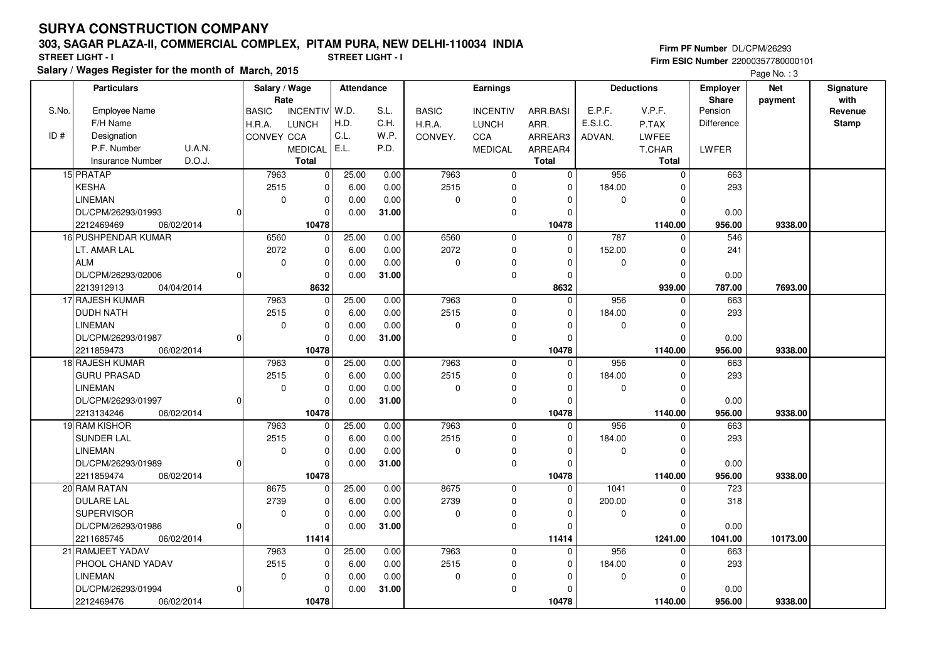### **303, SAGAR PLAZA-II, COMMERCIAL COMPLEX, PITAM PURA, NEW DELHI-110034 INDIA**

**Firm PF Number** DL/CPM/26293

**Salary / Wages Register for the month of March, 2015 STREET LIGHT - I STREET LIGHT - I Firm ESIC Number** 22000357780000101Page No. : 3

|       | <b>Particulars</b>                |                | Salary / Wage<br>Rate |                 | <b>Attendance</b> |       | Earnings     |                 |              | <b>Deductions</b> |              | <b>Employer</b>         | <b>Net</b> | Signature<br>with |
|-------|-----------------------------------|----------------|-----------------------|-----------------|-------------------|-------|--------------|-----------------|--------------|-------------------|--------------|-------------------------|------------|-------------------|
| S.No. | <b>Employee Name</b>              |                | <b>BASIC</b>          | <b>INCENTIV</b> | W.D.              | S.L.  | <b>BASIC</b> | <b>INCENTIV</b> | ARR.BASI     | E.P.F.            | V.P.F.       | <b>Share</b><br>Pension | payment    | Revenue           |
|       | F/H Name                          |                | H.R.A.                | <b>LUNCH</b>    | H.D.              | C.H.  | H.R.A.       | <b>LUNCH</b>    | ARR.         | E.S.I.C.          | P.TAX        | Difference              |            | <b>Stamp</b>      |
| ID#   | Designation                       |                | CONVEY CCA            |                 | C.L.              | W.P.  | CONVEY.      | <b>CCA</b>      | ARREAR3      | ADVAN.            | <b>LWFEE</b> |                         |            |                   |
|       | P.F. Number<br>U.A.N.             |                |                       | <b>MEDICAL</b>  | E.L.              | P.D.  |              | MEDICAL         | ARREAR4      |                   | T.CHAR       | LWFER                   |            |                   |
|       | D.O.J.<br><b>Insurance Number</b> |                |                       | <b>Total</b>    |                   |       |              |                 | <b>Total</b> |                   | Total        |                         |            |                   |
|       | 15 PRATAP                         |                | 7963                  | $\mathbf 0$     | 25.00             | 0.00  | 7963         | $\mathbf 0$     | $\mathbf 0$  | 956               | $\mathbf 0$  | 663                     |            |                   |
|       | <b>KESHA</b>                      |                | 2515                  | 0               | 6.00              | 0.00  | 2515         | $\mathbf 0$     | $\Omega$     | 184.00            |              | 293                     |            |                   |
|       | <b>LINEMAN</b>                    |                | $\mathbf 0$           | 0               | 0.00              | 0.00  | 0            | $\mathbf 0$     | $\Omega$     | 0                 | $\Omega$     |                         |            |                   |
|       | DL/CPM/26293/01993                | $\Omega$       |                       | 0               | 0.00              | 31.00 |              | $\mathbf 0$     | $\Omega$     |                   | ∩            | 0.00                    |            |                   |
|       | 2212469469<br>06/02/2014          |                |                       | 10478           |                   |       |              |                 | 10478        |                   | 1140.00      | 956.00                  | 9338.00    |                   |
|       | 16 PUSHPENDAR KUMAR               |                | 6560                  | $\mathbf 0$     | 25.00             | 0.00  | 6560         | $\mathbf 0$     | $\mathbf 0$  | 787               | $\Omega$     | 546                     |            |                   |
|       | LT. AMAR LAL                      |                | 2072                  | $\mathbf{0}$    | 6.00              | 0.00  | 2072         | $\mathbf 0$     | $\Omega$     | 152.00            | $\Omega$     | 241                     |            |                   |
|       | <b>ALM</b>                        |                | $\mathbf 0$           | $\mathbf 0$     | 0.00              | 0.00  | 0            | $\pmb{0}$       | $\Omega$     | 0                 | $\Omega$     |                         |            |                   |
|       | DL/CPM/26293/02006                | $\Omega$       |                       | $\mathbf 0$     | 0.00              | 31.00 |              | $\mathbf 0$     | $\Omega$     |                   | $\Omega$     | 0.00                    |            |                   |
|       | 2213912913<br>04/04/2014          |                |                       | 8632            |                   |       |              |                 | 8632         |                   | 939.00       | 787.00                  | 7693.00    |                   |
|       | 17 RAJESH KUMAR                   |                | 7963                  | $\overline{0}$  | 25.00             | 0.00  | 7963         | $\mathbf 0$     | $\Omega$     | 956               |              | 663                     |            |                   |
|       | <b>DUDH NATH</b>                  |                | 2515                  | 0               | 6.00              | 0.00  | 2515         | $\mathbf 0$     | $\Omega$     | 184.00            |              | 293                     |            |                   |
|       | <b>LINEMAN</b>                    |                | $\mathbf 0$           | $\overline{0}$  | 0.00              | 0.00  | 0            | 0               | $\Omega$     | 0                 | $\Omega$     |                         |            |                   |
|       | DL/CPM/26293/01987                | $\Omega$       |                       | $\mathbf 0$     | 0.00              | 31.00 |              | $\mathbf 0$     | $\Omega$     |                   | $\Omega$     | 0.00                    |            |                   |
|       | 2211859473<br>06/02/2014          |                |                       | 10478           |                   |       |              |                 | 10478        |                   | 1140.00      | 956.00                  | 9338.00    |                   |
|       | 18 RAJESH KUMAR                   |                | 7963                  | $\overline{0}$  | 25.00             | 0.00  | 7963         | $\mathbf{0}$    | $\Omega$     | 956               | $\Omega$     | 663                     |            |                   |
|       | <b>GURU PRASAD</b>                |                | 2515                  | $\mathbf{0}$    | 6.00              | 0.00  | 2515         | $\mathbf 0$     | $\Omega$     | 184.00            | $\Omega$     | 293                     |            |                   |
|       | <b>LINEMAN</b>                    |                | $\mathbf 0$           | $\mathbf 0$     | 0.00              | 0.00  | 0            | 0               | $\Omega$     | 0                 | $\Omega$     |                         |            |                   |
|       | DL/CPM/26293/01997                | $\Omega$       |                       | 0               | 0.00              | 31.00 |              | $\mathbf 0$     | $\Omega$     |                   | $\Omega$     | 0.00                    |            |                   |
|       | 2213134246<br>06/02/2014          |                |                       | 10478           |                   |       |              |                 | 10478        |                   | 1140.00      | 956.00                  | 9338.00    |                   |
|       | 19 RAM KISHOR                     |                | 7963                  | 0               | 25.00             | 0.00  | 7963         | $\mathbf 0$     | $\Omega$     | 956               |              | 663                     |            |                   |
|       | <b>SUNDER LAL</b>                 |                | 2515                  | 0               | 6.00              | 0.00  | 2515         | $\mathbf 0$     | $\Omega$     | 184.00            | ŋ            | 293                     |            |                   |
|       | <b>LINEMAN</b>                    |                | $\mathbf 0$           | $\mathbf{0}$    | 0.00              | 0.00  | 0            | $\Omega$        | $\Omega$     | 0                 | $\Omega$     |                         |            |                   |
|       | DL/CPM/26293/01989                | $\overline{0}$ |                       | $\mathbf 0$     | 0.00              | 31.00 |              | $\mathbf 0$     | $\Omega$     |                   | $\Omega$     | 0.00                    |            |                   |
|       | 2211859474<br>06/02/2014          |                |                       | 10478           |                   |       |              |                 | 10478        |                   | 1140.00      | 956.00                  | 9338.00    |                   |
|       | 20 RAM RATAN                      |                | 8675                  | 0               | 25.00             | 0.00  | 8675         | $\mathbf{0}$    | $\Omega$     | 1041              |              | 723                     |            |                   |
|       | <b>DULARE LAL</b>                 |                | 2739                  | $\overline{0}$  | 6.00              | 0.00  | 2739         | 0               | $\Omega$     | 200.00            | $\Omega$     | 318                     |            |                   |
|       | <b>SUPERVISOR</b>                 |                | $\mathbf 0$           | 0               | 0.00              | 0.00  | 0            | $\mathbf 0$     | $\Omega$     | 0                 | $\Omega$     |                         |            |                   |
|       | DL/CPM/26293/01986                | $\Omega$       |                       | 0               | 0.00              | 31.00 |              | $\mathbf 0$     | $\Omega$     |                   |              | 0.00                    |            |                   |
|       | 2211685745<br>06/02/2014          |                |                       | 11414           |                   |       |              |                 | 11414        |                   | 1241.00      | 1041.00                 | 10173.00   |                   |
|       | 21 RAMJEET YADAV                  |                | 7963                  | $\mathbf{0}$    | 25.00             | 0.00  | 7963         | $\mathbf 0$     | 0            | 956               | O            | 663                     |            |                   |
|       | PHOOL CHAND YADAV                 |                | 2515                  | $\mathbf 0$     | 6.00              | 0.00  | 2515         | $\mathbf 0$     | $\Omega$     | 184.00            | $\Omega$     | 293                     |            |                   |
|       | <b>LINEMAN</b>                    |                | $\mathbf 0$           | 0               | 0.00              | 0.00  | 0            | $\mathbf 0$     | O            | 0                 | $\Omega$     |                         |            |                   |
|       | DL/CPM/26293/01994                | $\Omega$       |                       | 0               | 0.00              | 31.00 |              | $\mathbf 0$     | $\Omega$     |                   | $\Omega$     | 0.00                    |            |                   |
|       | 2212469476<br>06/02/2014          |                |                       | 10478           |                   |       |              |                 | 10478        |                   | 1140.00      | 956.00                  | 9338.00    |                   |